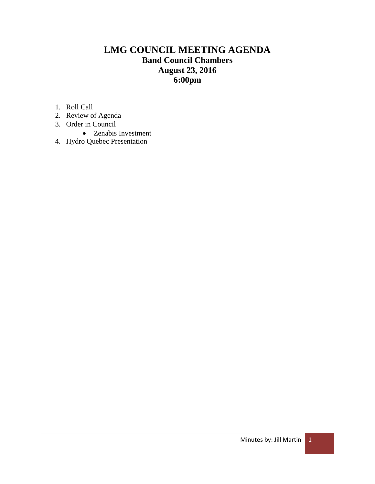# **LMG COUNCIL MEETING AGENDA Band Council Chambers August 23, 2016 6:00pm**

- 1. Roll Call
- 2. Review of Agenda
- 3. Order in Council
	- Zenabis Investment
- 4. Hydro Quebec Presentation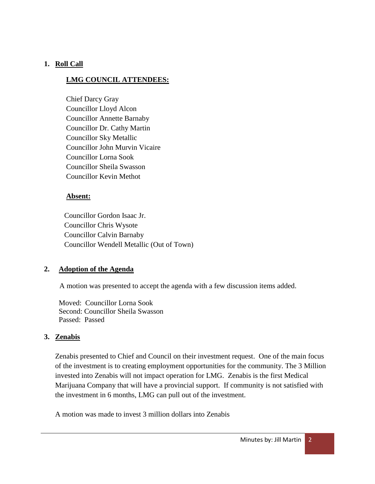## **1. Roll Call**

## **LMG COUNCIL ATTENDEES:**

Chief Darcy Gray Councillor Lloyd Alcon Councillor Annette Barnaby Councillor Dr. Cathy Martin Councillor Sky Metallic Councillor John Murvin Vicaire Councillor Lorna Sook Councillor Sheila Swasson Councillor Kevin Methot

### **Absent:**

 Councillor Gordon Isaac Jr. Councillor Chris Wysote Councillor Calvin Barnaby Councillor Wendell Metallic (Out of Town)

### **2. Adoption of the Agenda**

A motion was presented to accept the agenda with a few discussion items added.

 Moved: Councillor Lorna Sook Second: Councillor Sheila Swasson Passed: Passed

### **3. Zenabis**

Zenabis presented to Chief and Council on their investment request. One of the main focus of the investment is to creating employment opportunities for the community. The 3 Million invested into Zenabis will not impact operation for LMG. Zenabis is the first Medical Marijuana Company that will have a provincial support. If community is not satisfied with the investment in 6 months, LMG can pull out of the investment.

A motion was made to invest 3 million dollars into Zenabis